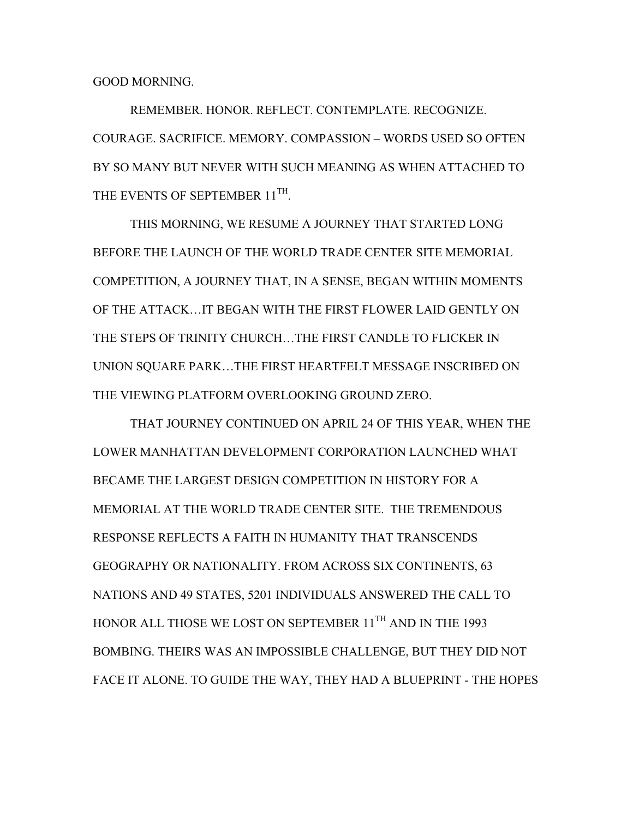GOOD MORNING.

 REMEMBER. HONOR. REFLECT. CONTEMPLATE. RECOGNIZE. COURAGE. SACRIFICE. MEMORY. COMPASSION – WORDS USED SO OFTEN BY SO MANY BUT NEVER WITH SUCH MEANING AS WHEN ATTACHED TO THE EVENTS OF SEPTEMBER 11<sup>TH</sup>.

THIS MORNING, WE RESUME A JOURNEY THAT STARTED LONG BEFORE THE LAUNCH OF THE WORLD TRADE CENTER SITE MEMORIAL COMPETITION, A JOURNEY THAT, IN A SENSE, BEGAN WITHIN MOMENTS OF THE ATTACK…IT BEGAN WITH THE FIRST FLOWER LAID GENTLY ON THE STEPS OF TRINITY CHURCH…THE FIRST CANDLE TO FLICKER IN UNION SQUARE PARK…THE FIRST HEARTFELT MESSAGE INSCRIBED ON THE VIEWING PLATFORM OVERLOOKING GROUND ZERO.

 THAT JOURNEY CONTINUED ON APRIL 24 OF THIS YEAR, WHEN THE LOWER MANHATTAN DEVELOPMENT CORPORATION LAUNCHED WHAT BECAME THE LARGEST DESIGN COMPETITION IN HISTORY FOR A MEMORIAL AT THE WORLD TRADE CENTER SITE. THE TREMENDOUS RESPONSE REFLECTS A FAITH IN HUMANITY THAT TRANSCENDS GEOGRAPHY OR NATIONALITY. FROM ACROSS SIX CONTINENTS, 63 NATIONS AND 49 STATES, 5201 INDIVIDUALS ANSWERED THE CALL TO HONOR ALL THOSE WE LOST ON SEPTEMBER 11<sup>TH</sup> AND IN THE 1993 BOMBING. THEIRS WAS AN IMPOSSIBLE CHALLENGE, BUT THEY DID NOT FACE IT ALONE. TO GUIDE THE WAY, THEY HAD A BLUEPRINT - THE HOPES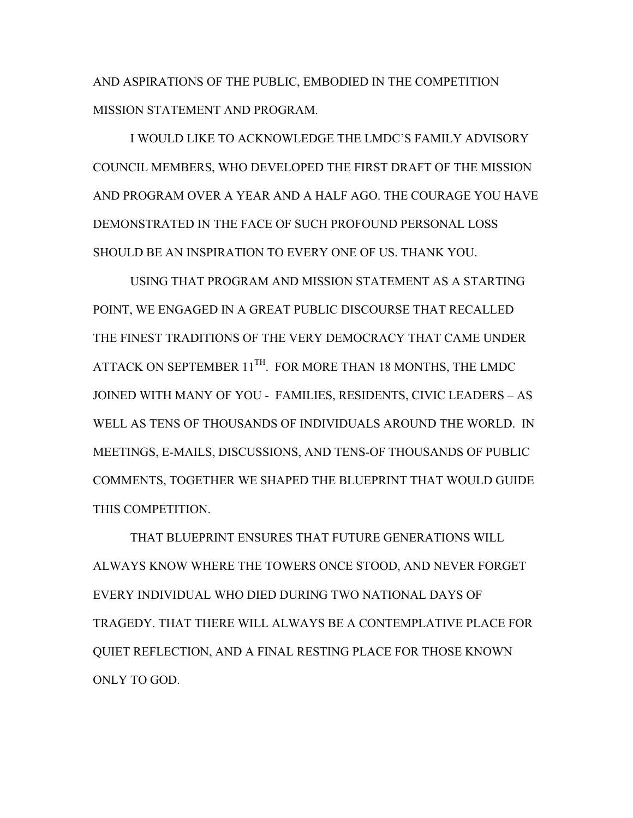AND ASPIRATIONS OF THE PUBLIC, EMBODIED IN THE COMPETITION MISSION STATEMENT AND PROGRAM.

I WOULD LIKE TO ACKNOWLEDGE THE LMDC'S FAMILY ADVISORY COUNCIL MEMBERS, WHO DEVELOPED THE FIRST DRAFT OF THE MISSION AND PROGRAM OVER A YEAR AND A HALF AGO. THE COURAGE YOU HAVE DEMONSTRATED IN THE FACE OF SUCH PROFOUND PERSONAL LOSS SHOULD BE AN INSPIRATION TO EVERY ONE OF US. THANK YOU.

USING THAT PROGRAM AND MISSION STATEMENT AS A STARTING POINT, WE ENGAGED IN A GREAT PUBLIC DISCOURSE THAT RECALLED THE FINEST TRADITIONS OF THE VERY DEMOCRACY THAT CAME UNDER ATTACK ON SEPTEMBER 11<sup>TH</sup>. FOR MORE THAN 18 MONTHS, THE LMDC JOINED WITH MANY OF YOU - FAMILIES, RESIDENTS, CIVIC LEADERS – AS WELL AS TENS OF THOUSANDS OF INDIVIDUALS AROUND THE WORLD. IN MEETINGS, E-MAILS, DISCUSSIONS, AND TENS-OF THOUSANDS OF PUBLIC COMMENTS, TOGETHER WE SHAPED THE BLUEPRINT THAT WOULD GUIDE THIS COMPETITION.

THAT BLUEPRINT ENSURES THAT FUTURE GENERATIONS WILL ALWAYS KNOW WHERE THE TOWERS ONCE STOOD, AND NEVER FORGET EVERY INDIVIDUAL WHO DIED DURING TWO NATIONAL DAYS OF TRAGEDY. THAT THERE WILL ALWAYS BE A CONTEMPLATIVE PLACE FOR QUIET REFLECTION, AND A FINAL RESTING PLACE FOR THOSE KNOWN ONLY TO GOD.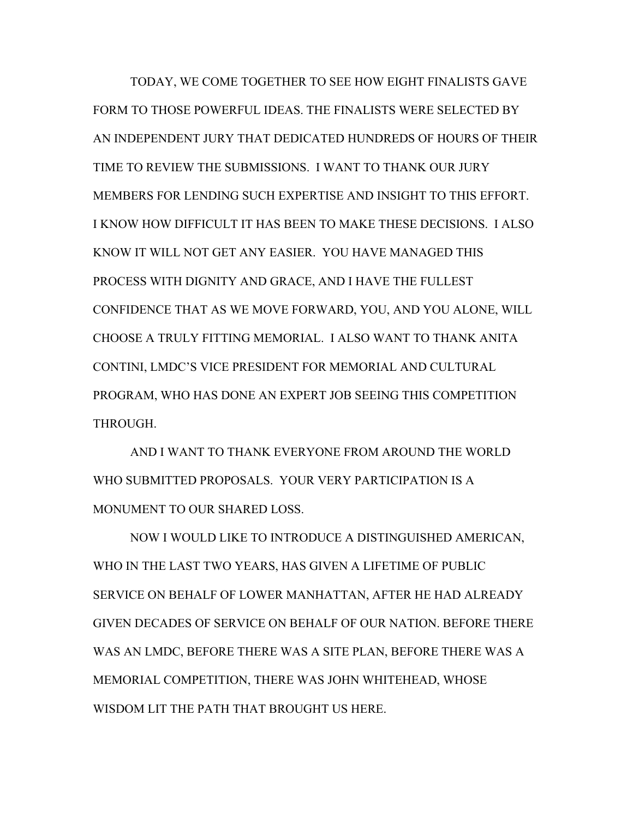TODAY, WE COME TOGETHER TO SEE HOW EIGHT FINALISTS GAVE FORM TO THOSE POWERFUL IDEAS. THE FINALISTS WERE SELECTED BY AN INDEPENDENT JURY THAT DEDICATED HUNDREDS OF HOURS OF THEIR TIME TO REVIEW THE SUBMISSIONS. I WANT TO THANK OUR JURY MEMBERS FOR LENDING SUCH EXPERTISE AND INSIGHT TO THIS EFFORT. I KNOW HOW DIFFICULT IT HAS BEEN TO MAKE THESE DECISIONS. I ALSO KNOW IT WILL NOT GET ANY EASIER. YOU HAVE MANAGED THIS PROCESS WITH DIGNITY AND GRACE, AND I HAVE THE FULLEST CONFIDENCE THAT AS WE MOVE FORWARD, YOU, AND YOU ALONE, WILL CHOOSE A TRULY FITTING MEMORIAL. I ALSO WANT TO THANK ANITA CONTINI, LMDC'S VICE PRESIDENT FOR MEMORIAL AND CULTURAL PROGRAM, WHO HAS DONE AN EXPERT JOB SEEING THIS COMPETITION THROUGH.

AND I WANT TO THANK EVERYONE FROM AROUND THE WORLD WHO SUBMITTED PROPOSALS. YOUR VERY PARTICIPATION IS A MONUMENT TO OUR SHARED LOSS.

NOW I WOULD LIKE TO INTRODUCE A DISTINGUISHED AMERICAN, WHO IN THE LAST TWO YEARS, HAS GIVEN A LIFETIME OF PUBLIC SERVICE ON BEHALF OF LOWER MANHATTAN, AFTER HE HAD ALREADY GIVEN DECADES OF SERVICE ON BEHALF OF OUR NATION. BEFORE THERE WAS AN LMDC, BEFORE THERE WAS A SITE PLAN, BEFORE THERE WAS A MEMORIAL COMPETITION, THERE WAS JOHN WHITEHEAD, WHOSE WISDOM LIT THE PATH THAT BROUGHT US HERE.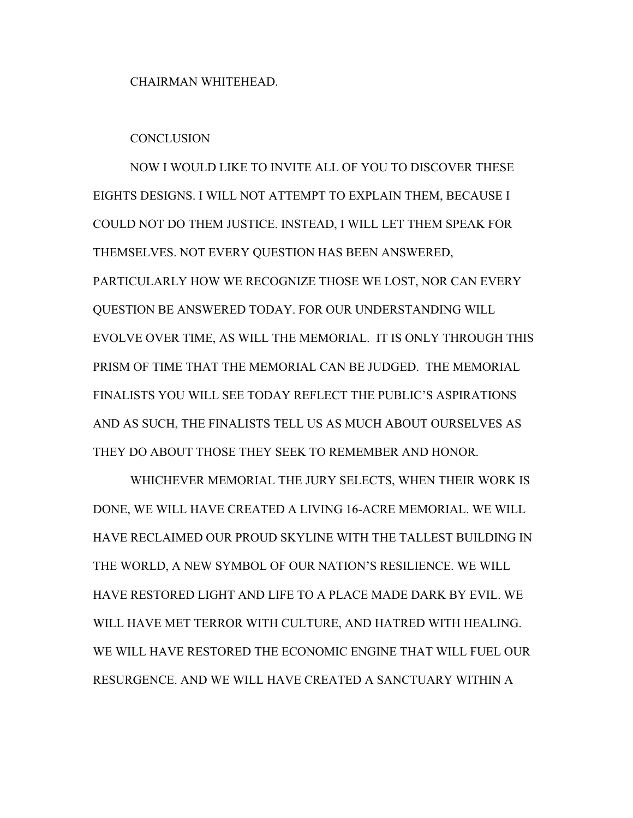CHAIRMAN WHITEHEAD.

## **CONCLUSION**

NOW I WOULD LIKE TO INVITE ALL OF YOU TO DISCOVER THESE EIGHTS DESIGNS. I WILL NOT ATTEMPT TO EXPLAIN THEM, BECAUSE I COULD NOT DO THEM JUSTICE. INSTEAD, I WILL LET THEM SPEAK FOR THEMSELVES. NOT EVERY QUESTION HAS BEEN ANSWERED, PARTICULARLY HOW WE RECOGNIZE THOSE WE LOST, NOR CAN EVERY QUESTION BE ANSWERED TODAY. FOR OUR UNDERSTANDING WILL EVOLVE OVER TIME, AS WILL THE MEMORIAL. IT IS ONLY THROUGH THIS PRISM OF TIME THAT THE MEMORIAL CAN BE JUDGED. THE MEMORIAL FINALISTS YOU WILL SEE TODAY REFLECT THE PUBLIC'S ASPIRATIONS AND AS SUCH, THE FINALISTS TELL US AS MUCH ABOUT OURSELVES AS THEY DO ABOUT THOSE THEY SEEK TO REMEMBER AND HONOR.

WHICHEVER MEMORIAL THE JURY SELECTS, WHEN THEIR WORK IS DONE, WE WILL HAVE CREATED A LIVING 16-ACRE MEMORIAL. WE WILL HAVE RECLAIMED OUR PROUD SKYLINE WITH THE TALLEST BUILDING IN THE WORLD, A NEW SYMBOL OF OUR NATION'S RESILIENCE. WE WILL HAVE RESTORED LIGHT AND LIFE TO A PLACE MADE DARK BY EVIL. WE WILL HAVE MET TERROR WITH CULTURE, AND HATRED WITH HEALING. WE WILL HAVE RESTORED THE ECONOMIC ENGINE THAT WILL FUEL OUR RESURGENCE. AND WE WILL HAVE CREATED A SANCTUARY WITHIN A